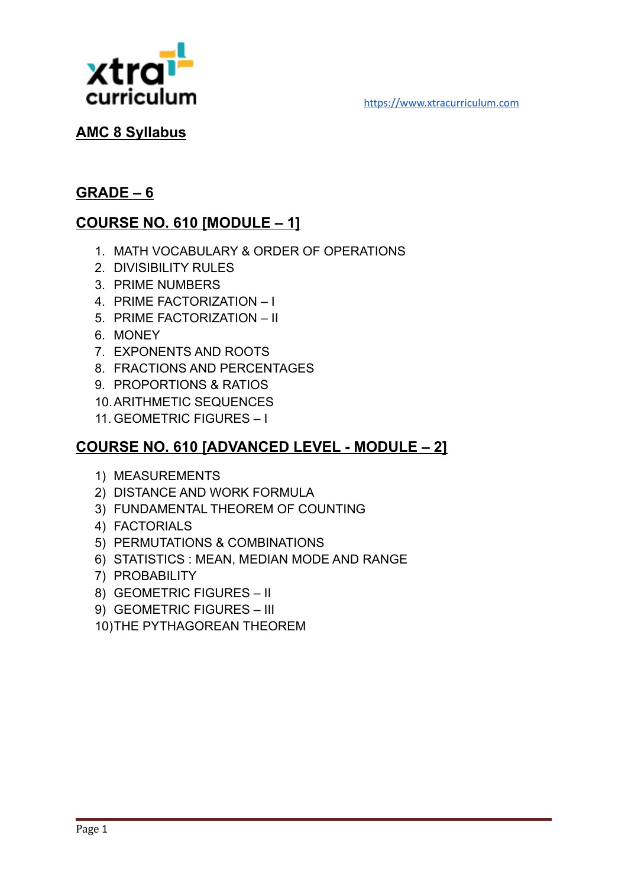



#### **AMC 8 Syllabus**

#### **GRADE – 6**

## **COURSE NO. 610 [MODULE – 1]**

- 1. MATH VOCABULARY & ORDER OF OPERATIONS
- 2. DIVISIBILITY RULES
- 3. PRIME NUMBERS
- 4. PRIME FACTORIZATION I
- 5. PRIME FACTORIZATION II
- 6. MONEY
- 7. EXPONENTS AND ROOTS
- 8. FRACTIONS AND PERCENTAGES
- 9. PROPORTIONS & RATIOS
- 10.ARITHMETIC SEQUENCES
- 11. GEOMETRIC FIGURES I

#### **COURSE NO. 610 [ADVANCED LEVEL - MODULE – 2]**

- 1) MEASUREMENTS
- 2) DISTANCE AND WORK FORMULA
- 3) FUNDAMENTAL THEOREM OF COUNTING
- 4) FACTORIALS
- 5) PERMUTATIONS & COMBINATIONS
- 6) STATISTICS : MEAN, MEDIAN MODE AND RANGE
- 7) PROBABILITY
- 8) GEOMETRIC FIGURES II
- 9) GEOMETRIC FIGURES III
- 10)THE PYTHAGOREAN THEOREM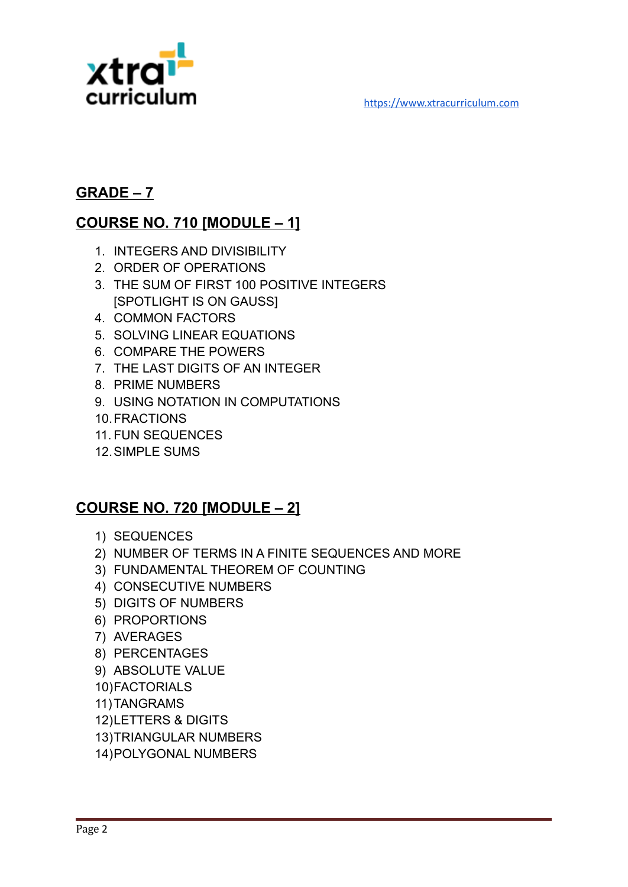

#### **GRADE – 7**

## **COURSE NO. 710 [MODULE – 1]**

- 1. INTEGERS AND DIVISIBILITY
- 2. ORDER OF OPERATIONS
- 3. THE SUM OF FIRST 100 POSITIVE INTEGERS [SPOTLIGHT IS ON GAUSS]
- 4. COMMON FACTORS
- 5. SOLVING LINEAR EQUATIONS
- 6. COMPARE THE POWERS
- 7. THE LAST DIGITS OF AN INTEGER
- 8. PRIME NUMBERS
- 9. USING NOTATION IN COMPUTATIONS
- 10.FRACTIONS
- 11. FUN SEQUENCES
- 12.SIMPLE SUMS

## **COURSE NO. 720 [MODULE – 2]**

- 1) SEQUENCES
- 2) NUMBER OF TERMS IN A FINITE SEQUENCES AND MORE
- 3) FUNDAMENTAL THEOREM OF COUNTING
- 4) CONSECUTIVE NUMBERS
- 5) DIGITS OF NUMBERS
- 6) PROPORTIONS
- 7) AVERAGES
- 8) PERCENTAGES
- 9) ABSOLUTE VALUE
- 10)FACTORIALS
- 11)TANGRAMS
- 12)LETTERS & DIGITS
- 13)TRIANGULAR NUMBERS
- 14)POLYGONAL NUMBERS